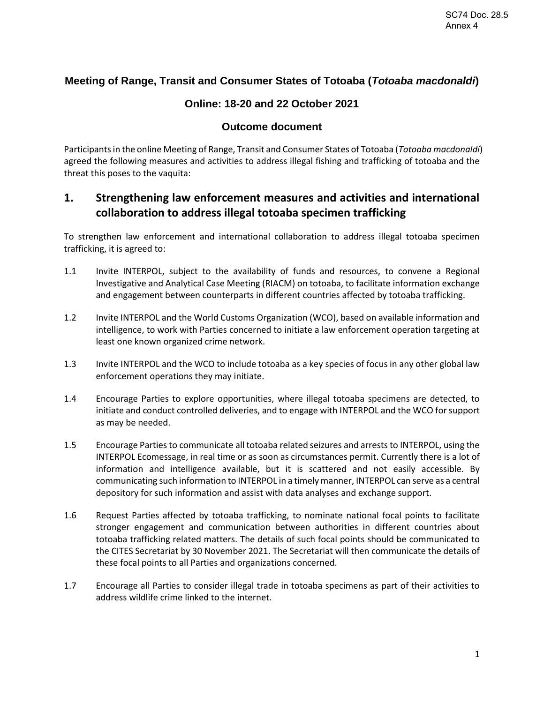## **Meeting of Range, Transit and Consumer States of Totoaba (***Totoaba macdonaldi***)**

### **Online: 18-20 and 22 October 2021**

### **Outcome document**

Participants in the online Meeting of Range, Transit and Consumer States of Totoaba (*Totoaba macdonaldi*) agreed the following measures and activities to address illegal fishing and trafficking of totoaba and the threat this poses to the vaquita:

## **1. Strengthening law enforcement measures and activities and international collaboration to address illegal totoaba specimen trafficking**

To strengthen law enforcement and international collaboration to address illegal totoaba specimen trafficking, it is agreed to:

- 1.1 Invite INTERPOL, subject to the availability of funds and resources, to convene a Regional Investigative and Analytical Case Meeting (RIACM) on totoaba, to facilitate information exchange and engagement between counterparts in different countries affected by totoaba trafficking.
- 1.2 Invite INTERPOL and the World Customs Organization (WCO), based on available information and intelligence, to work with Parties concerned to initiate a law enforcement operation targeting at least one known organized crime network.
- 1.3 Invite INTERPOL and the WCO to include totoaba as a key species of focus in any other global law enforcement operations they may initiate.
- 1.4 Encourage Parties to explore opportunities, where illegal totoaba specimens are detected, to initiate and conduct controlled deliveries, and to engage with INTERPOL and the WCO for support as may be needed.
- 1.5 Encourage Parties to communicate all totoaba related seizures and arrests to INTERPOL, using the INTERPOL Ecomessage, in real time or as soon as circumstances permit. Currently there is a lot of information and intelligence available, but it is scattered and not easily accessible. By communicating such information to INTERPOL in a timely manner, INTERPOL can serve as a central depository for such information and assist with data analyses and exchange support.
- 1.6 Request Parties affected by totoaba trafficking, to nominate national focal points to facilitate stronger engagement and communication between authorities in different countries about totoaba trafficking related matters. The details of such focal points should be communicated to the CITES Secretariat by 30 November 2021. The Secretariat will then communicate the details of these focal points to all Parties and organizations concerned.
- 1.7 Encourage all Parties to consider illegal trade in totoaba specimens as part of their activities to address wildlife crime linked to the internet.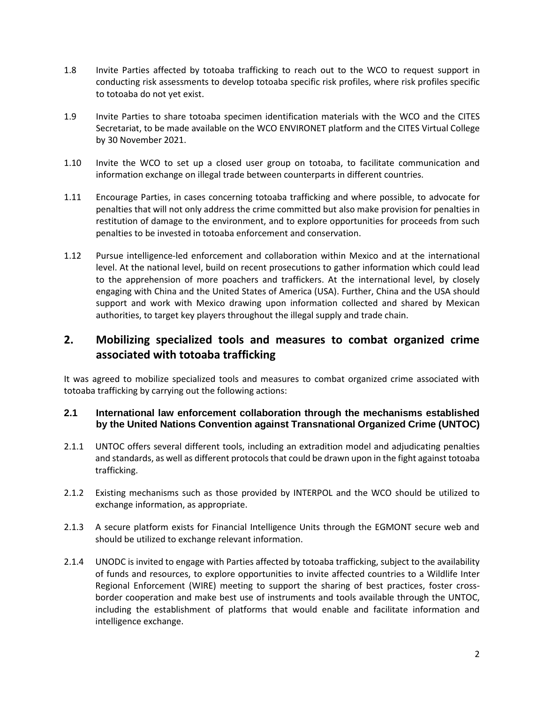- 1.8 Invite Parties affected by totoaba trafficking to reach out to the WCO to request support in conducting risk assessments to develop totoaba specific risk profiles, where risk profiles specific to totoaba do not yet exist.
- 1.9 Invite Parties to share totoaba specimen identification materials with the WCO and the CITES Secretariat, to be made available on the WCO ENVIRONET platform and the CITES Virtual College by 30 November 2021.
- 1.10 Invite the WCO to set up a closed user group on totoaba, to facilitate communication and information exchange on illegal trade between counterparts in different countries.
- 1.11 Encourage Parties, in cases concerning totoaba trafficking and where possible, to advocate for penalties that will not only address the crime committed but also make provision for penalties in restitution of damage to the environment, and to explore opportunities for proceeds from such penalties to be invested in totoaba enforcement and conservation.
- 1.12 Pursue intelligence-led enforcement and collaboration within Mexico and at the international level. At the national level, build on recent prosecutions to gather information which could lead to the apprehension of more poachers and traffickers. At the international level, by closely engaging with China and the United States of America (USA). Further, China and the USA should support and work with Mexico drawing upon information collected and shared by Mexican authorities, to target key players throughout the illegal supply and trade chain.

# **2. Mobilizing specialized tools and measures to combat organized crime associated with totoaba trafficking**

It was agreed to mobilize specialized tools and measures to combat organized crime associated with totoaba trafficking by carrying out the following actions:

#### **2.1 International law enforcement collaboration through the mechanisms established by the United Nations Convention against Transnational Organized Crime (UNTOC)**

- 2.1.1 UNTOC offers several different tools, including an extradition model and adjudicating penalties and standards, as well as different protocols that could be drawn upon in the fight against totoaba trafficking.
- 2.1.2 Existing mechanisms such as those provided by INTERPOL and the WCO should be utilized to exchange information, as appropriate.
- 2.1.3 A secure platform exists for Financial Intelligence Units through the EGMONT secure web and should be utilized to exchange relevant information.
- 2.1.4 UNODC is invited to engage with Parties affected by totoaba trafficking, subject to the availability of funds and resources, to explore opportunities to invite affected countries to a Wildlife Inter Regional Enforcement (WIRE) meeting to support the sharing of best practices, foster crossborder cooperation and make best use of instruments and tools available through the UNTOC, including the establishment of platforms that would enable and facilitate information and intelligence exchange.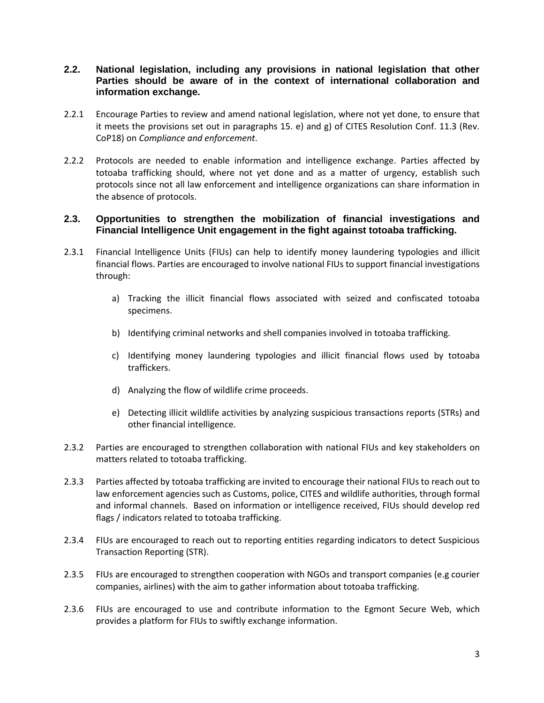#### **2.2. National legislation, including any provisions in national legislation that other Parties should be aware of in the context of international collaboration and information exchange.**

- 2.2.1 Encourage Parties to review and amend national legislation, where not yet done, to ensure that it meets the provisions set out in paragraphs 15. e) and g) of CITES Resolution Conf. 11.3 (Rev. CoP18) on *Compliance and enforcement*.
- 2.2.2 Protocols are needed to enable information and intelligence exchange. Parties affected by totoaba trafficking should, where not yet done and as a matter of urgency, establish such protocols since not all law enforcement and intelligence organizations can share information in the absence of protocols.

#### **2.3. Opportunities to strengthen the mobilization of financial investigations and Financial Intelligence Unit engagement in the fight against totoaba trafficking.**

- 2.3.1 Financial Intelligence Units (FIUs) can help to identify money laundering typologies and illicit financial flows. Parties are encouraged to involve national FIUs to support financial investigations through:
	- a) Tracking the illicit financial flows associated with seized and confiscated totoaba specimens.
	- b) Identifying criminal networks and shell companies involved in totoaba trafficking.
	- c) Identifying money laundering typologies and illicit financial flows used by totoaba traffickers.
	- d) Analyzing the flow of wildlife crime proceeds.
	- e) Detecting illicit wildlife activities by analyzing suspicious transactions reports (STRs) and other financial intelligence.
- 2.3.2 Parties are encouraged to strengthen collaboration with national FIUs and key stakeholders on matters related to totoaba trafficking.
- 2.3.3 Parties affected by totoaba trafficking are invited to encourage their national FIUs to reach out to law enforcement agencies such as Customs, police, CITES and wildlife authorities, through formal and informal channels. Based on information or intelligence received, FIUs should develop red flags / indicators related to totoaba trafficking.
- 2.3.4 FIUs are encouraged to reach out to reporting entities regarding indicators to detect Suspicious Transaction Reporting (STR).
- 2.3.5 FIUs are encouraged to strengthen cooperation with NGOs and transport companies (e.g courier companies, airlines) with the aim to gather information about totoaba trafficking.
- 2.3.6 FIUs are encouraged to use and contribute information to the Egmont Secure Web, which provides a platform for FIUs to swiftly exchange information.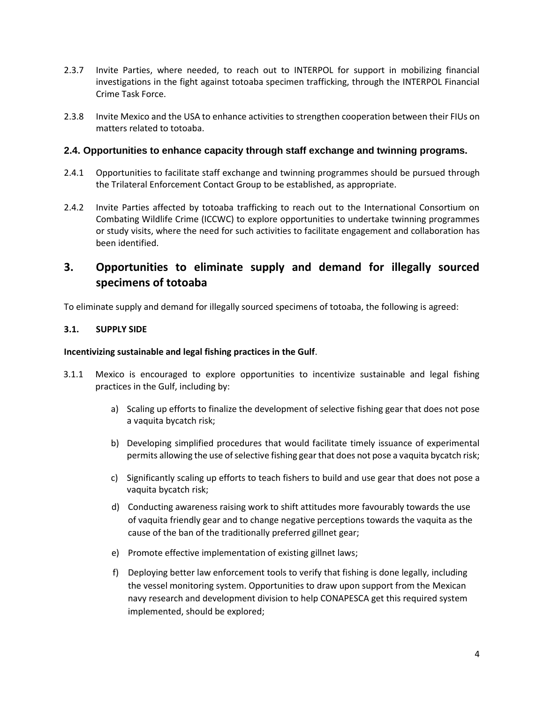- 2.3.7 Invite Parties, where needed, to reach out to INTERPOL for support in mobilizing financial investigations in the fight against totoaba specimen trafficking, through the INTERPOL Financial Crime Task Force.
- 2.3.8 Invite Mexico and the USA to enhance activities to strengthen cooperation between their FIUs on matters related to totoaba.

#### **2.4. Opportunities to enhance capacity through staff exchange and twinning programs.**

- 2.4.1 Opportunities to facilitate staff exchange and twinning programmes should be pursued through the Trilateral Enforcement Contact Group to be established, as appropriate.
- 2.4.2 Invite Parties affected by totoaba trafficking to reach out to the International Consortium on Combating Wildlife Crime (ICCWC) to explore opportunities to undertake twinning programmes or study visits, where the need for such activities to facilitate engagement and collaboration has been identified.

# **3. Opportunities to eliminate supply and demand for illegally sourced specimens of totoaba**

To eliminate supply and demand for illegally sourced specimens of totoaba, the following is agreed:

#### **3.1. SUPPLY SIDE**

#### **Incentivizing sustainable and legal fishing practices in the Gulf**.

- 3.1.1 Mexico is encouraged to explore opportunities to incentivize sustainable and legal fishing practices in the Gulf, including by:
	- a) Scaling up efforts to finalize the development of selective fishing gear that does not pose a vaquita bycatch risk;
	- b) Developing simplified procedures that would facilitate timely issuance of experimental permits allowing the use of selective fishing gear that does not pose a vaquita bycatch risk;
	- c) Significantly scaling up efforts to teach fishers to build and use gear that does not pose a vaquita bycatch risk;
	- d) Conducting awareness raising work to shift attitudes more favourably towards the use of vaquita friendly gear and to change negative perceptions towards the vaquita as the cause of the ban of the traditionally preferred gillnet gear;
	- e) Promote effective implementation of existing gillnet laws;
	- f) Deploying better law enforcement tools to verify that fishing is done legally, including the vessel monitoring system. Opportunities to draw upon support from the Mexican navy research and development division to help CONAPESCA get this required system implemented, should be explored;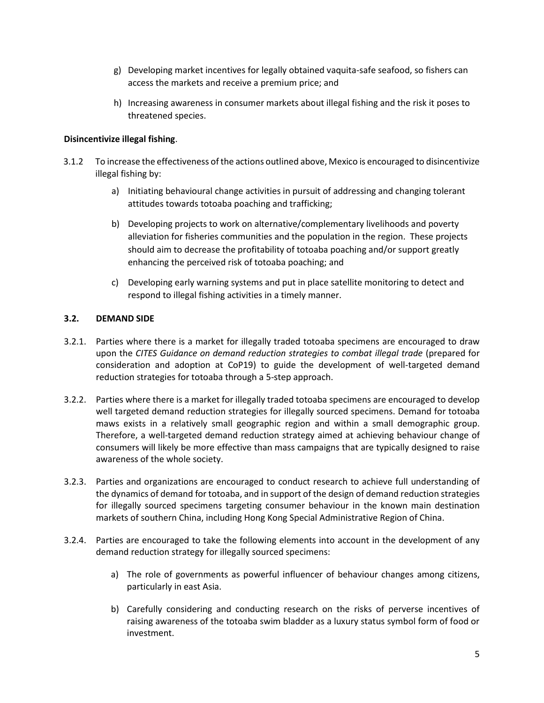- g) Developing market incentives for legally obtained vaquita-safe seafood, so fishers can access the markets and receive a premium price; and
- h) Increasing awareness in consumer markets about illegal fishing and the risk it poses to threatened species.

#### **Disincentivize illegal fishing**.

- 3.1.2 To increase the effectiveness of the actions outlined above, Mexico is encouraged to disincentivize illegal fishing by:
	- a) Initiating behavioural change activities in pursuit of addressing and changing tolerant attitudes towards totoaba poaching and trafficking;
	- b) Developing projects to work on alternative/complementary livelihoods and poverty alleviation for fisheries communities and the population in the region. These projects should aim to decrease the profitability of totoaba poaching and/or support greatly enhancing the perceived risk of totoaba poaching; and
	- c) Developing early warning systems and put in place satellite monitoring to detect and respond to illegal fishing activities in a timely manner.

#### **3.2. DEMAND SIDE**

- 3.2.1. Parties where there is a market for illegally traded totoaba specimens are encouraged to draw upon the *CITES Guidance on demand reduction strategies to combat illegal trade* (prepared for consideration and adoption at CoP19) to guide the development of well-targeted demand reduction strategies for totoaba through a 5-step approach.
- 3.2.2. Parties where there is a market for illegally traded totoaba specimens are encouraged to develop well targeted demand reduction strategies for illegally sourced specimens. Demand for totoaba maws exists in a relatively small geographic region and within a small demographic group. Therefore, a well-targeted demand reduction strategy aimed at achieving behaviour change of consumers will likely be more effective than mass campaigns that are typically designed to raise awareness of the whole society.
- 3.2.3. Parties and organizations are encouraged to conduct research to achieve full understanding of the dynamics of demand for totoaba, and in support of the design of demand reduction strategies for illegally sourced specimens targeting consumer behaviour in the known main destination markets of southern China, including Hong Kong Special Administrative Region of China.
- 3.2.4. Parties are encouraged to take the following elements into account in the development of any demand reduction strategy for illegally sourced specimens:
	- a) The role of governments as powerful influencer of behaviour changes among citizens, particularly in east Asia.
	- b) Carefully considering and conducting research on the risks of perverse incentives of raising awareness of the totoaba swim bladder as a luxury status symbol form of food or investment.